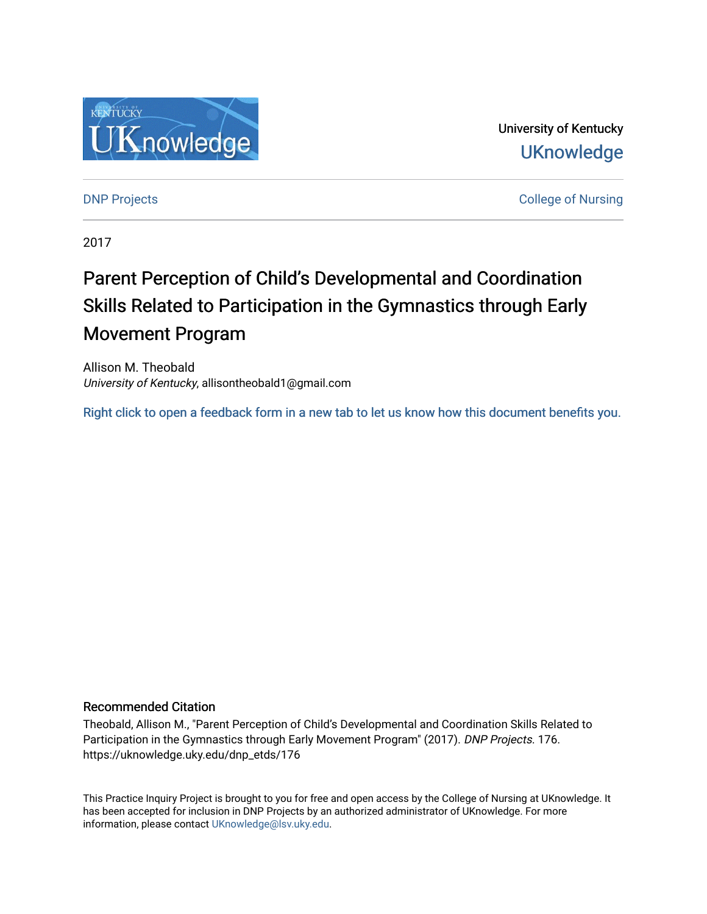

University of Kentucky **UKnowledge** 

**DNP Projects** College of Nursing

2017

# Parent Perception of Child's Developmental and Coordination Skills Related to Participation in the Gymnastics through Early Movement Program

Allison M. Theobald University of Kentucky, allisontheobald1@gmail.com

[Right click to open a feedback form in a new tab to let us know how this document benefits you.](https://uky.az1.qualtrics.com/jfe/form/SV_9mq8fx2GnONRfz7)

### Recommended Citation

Theobald, Allison M., "Parent Perception of Child's Developmental and Coordination Skills Related to Participation in the Gymnastics through Early Movement Program" (2017). DNP Projects. 176. https://uknowledge.uky.edu/dnp\_etds/176

This Practice Inquiry Project is brought to you for free and open access by the College of Nursing at UKnowledge. It has been accepted for inclusion in DNP Projects by an authorized administrator of UKnowledge. For more information, please contact [UKnowledge@lsv.uky.edu](mailto:UKnowledge@lsv.uky.edu).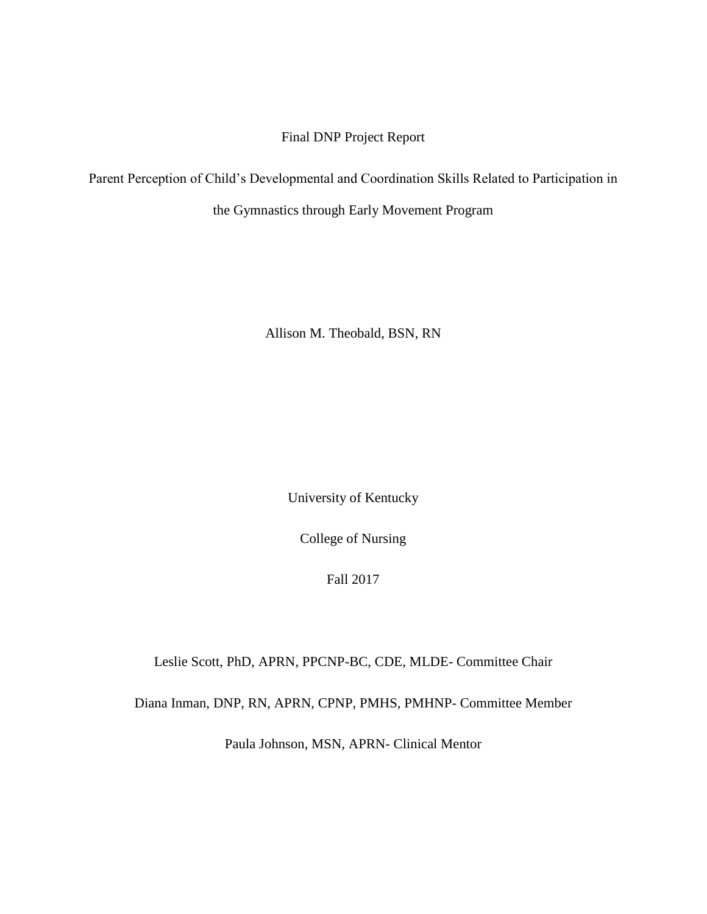Final DNP Project Report

Parent Perception of Child's Developmental and Coordination Skills Related to Participation in

the Gymnastics through Early Movement Program

Allison M. Theobald, BSN, RN

University of Kentucky

College of Nursing

Fall 2017

Leslie Scott, PhD, APRN, PPCNP-BC, CDE, MLDE- Committee Chair

Diana Inman, DNP, RN, APRN, CPNP, PMHS, PMHNP- Committee Member

Paula Johnson, MSN, APRN- Clinical Mentor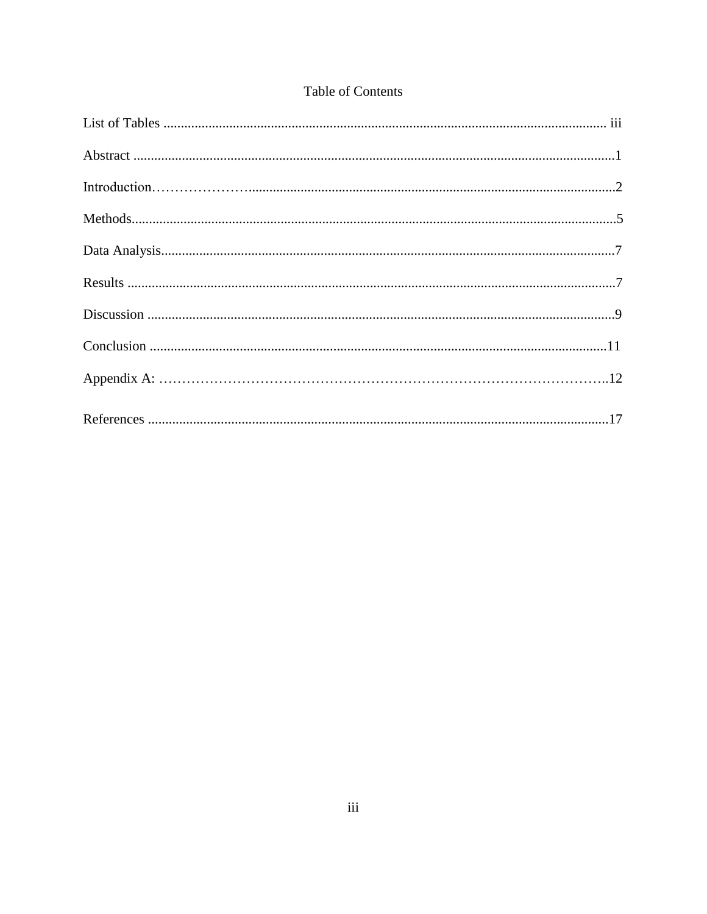## Table of Contents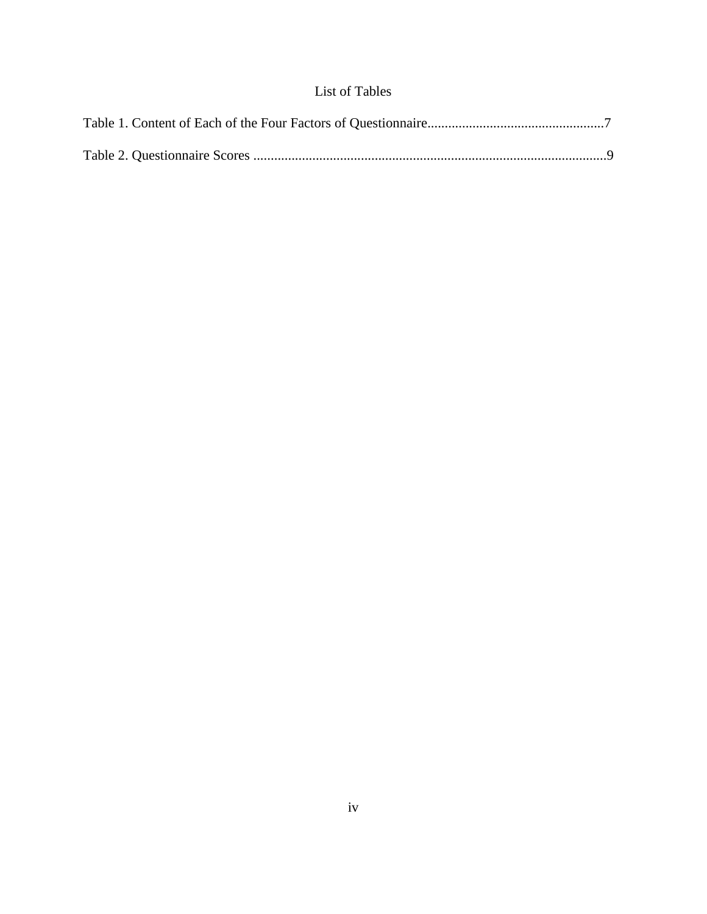# List of Tables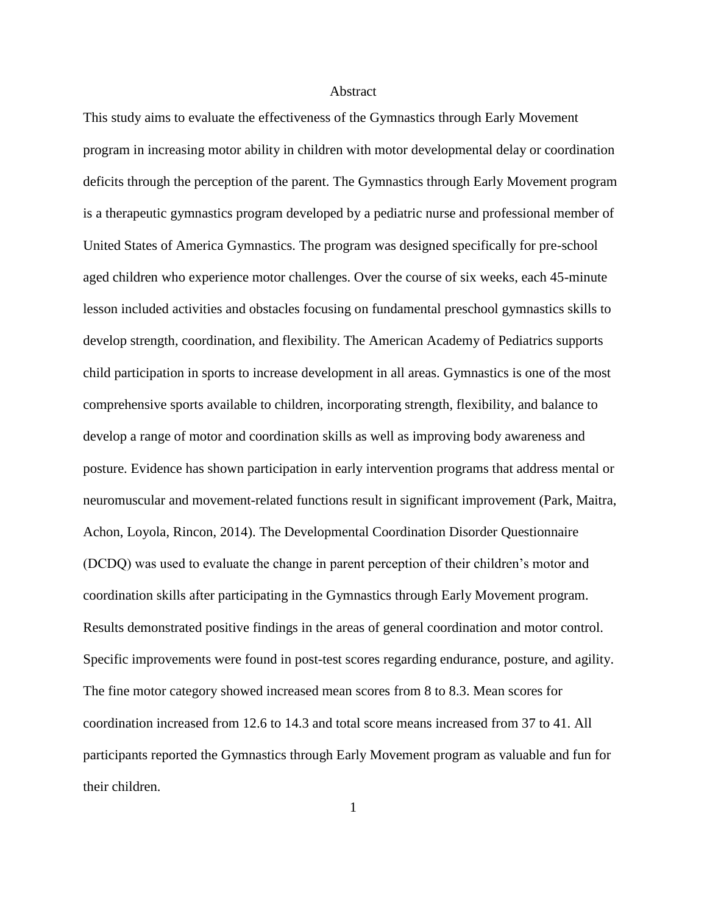### **Abstract**

This study aims to evaluate the effectiveness of the Gymnastics through Early Movement program in increasing motor ability in children with motor developmental delay or coordination deficits through the perception of the parent. The Gymnastics through Early Movement program is a therapeutic gymnastics program developed by a pediatric nurse and professional member of United States of America Gymnastics. The program was designed specifically for pre-school aged children who experience motor challenges. Over the course of six weeks, each 45-minute lesson included activities and obstacles focusing on fundamental preschool gymnastics skills to develop strength, coordination, and flexibility. The American Academy of Pediatrics supports child participation in sports to increase development in all areas. Gymnastics is one of the most comprehensive sports available to children, incorporating strength, flexibility, and balance to develop a range of motor and coordination skills as well as improving body awareness and posture. Evidence has shown participation in early intervention programs that address mental or neuromuscular and movement-related functions result in significant improvement (Park, Maitra, Achon, Loyola, Rincon, 2014). The Developmental Coordination Disorder Questionnaire (DCDQ) was used to evaluate the change in parent perception of their children's motor and coordination skills after participating in the Gymnastics through Early Movement program. Results demonstrated positive findings in the areas of general coordination and motor control. Specific improvements were found in post-test scores regarding endurance, posture, and agility. The fine motor category showed increased mean scores from 8 to 8.3. Mean scores for coordination increased from 12.6 to 14.3 and total score means increased from 37 to 41. All participants reported the Gymnastics through Early Movement program as valuable and fun for their children.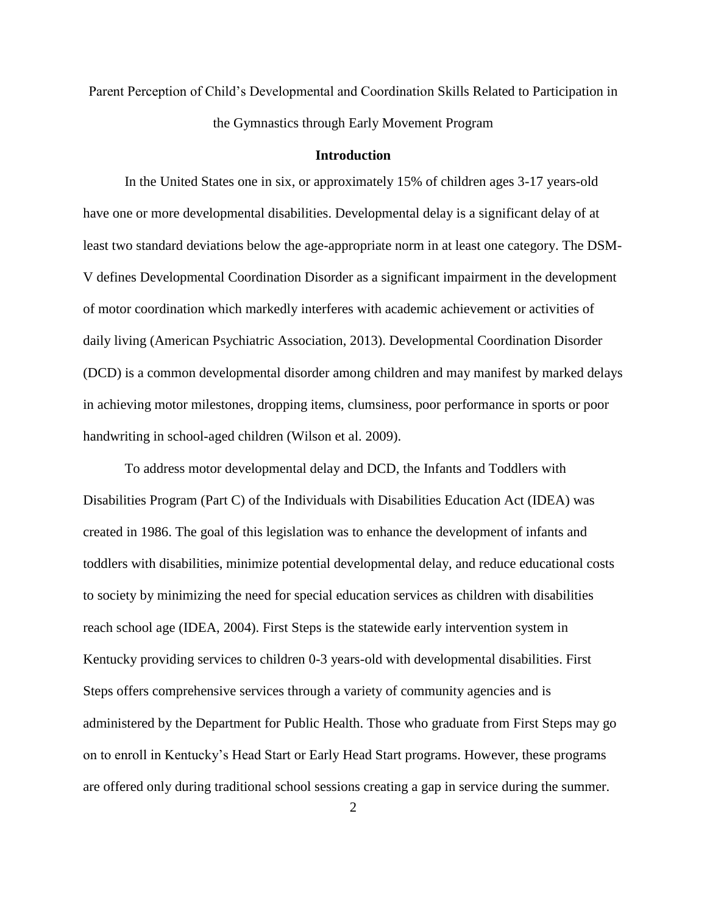Parent Perception of Child's Developmental and Coordination Skills Related to Participation in the Gymnastics through Early Movement Program

### **Introduction**

In the United States one in six, or approximately 15% of children ages 3-17 years-old have one or more developmental disabilities. Developmental delay is a significant delay of at least two standard deviations below the age-appropriate norm in at least one category. The DSM-V defines Developmental Coordination Disorder as a significant impairment in the development of motor coordination which markedly interferes with academic achievement or activities of daily living (American Psychiatric Association, 2013). Developmental Coordination Disorder (DCD) is a common developmental disorder among children and may manifest by marked delays in achieving motor milestones, dropping items, clumsiness, poor performance in sports or poor handwriting in school-aged children (Wilson et al. 2009).

To address motor developmental delay and DCD, the Infants and Toddlers with Disabilities Program (Part C) of the Individuals with Disabilities Education Act (IDEA) was created in 1986. The goal of this legislation was to enhance the development of infants and toddlers with disabilities, minimize potential developmental delay, and reduce educational costs to society by minimizing the need for special education services as children with disabilities reach school age (IDEA, 2004). First Steps is the statewide early intervention system in Kentucky providing services to children 0-3 years-old with developmental disabilities. First Steps offers comprehensive services through a variety of community agencies and is administered by the Department for Public Health. Those who graduate from First Steps may go on to enroll in Kentucky's Head Start or Early Head Start programs. However, these programs are offered only during traditional school sessions creating a gap in service during the summer.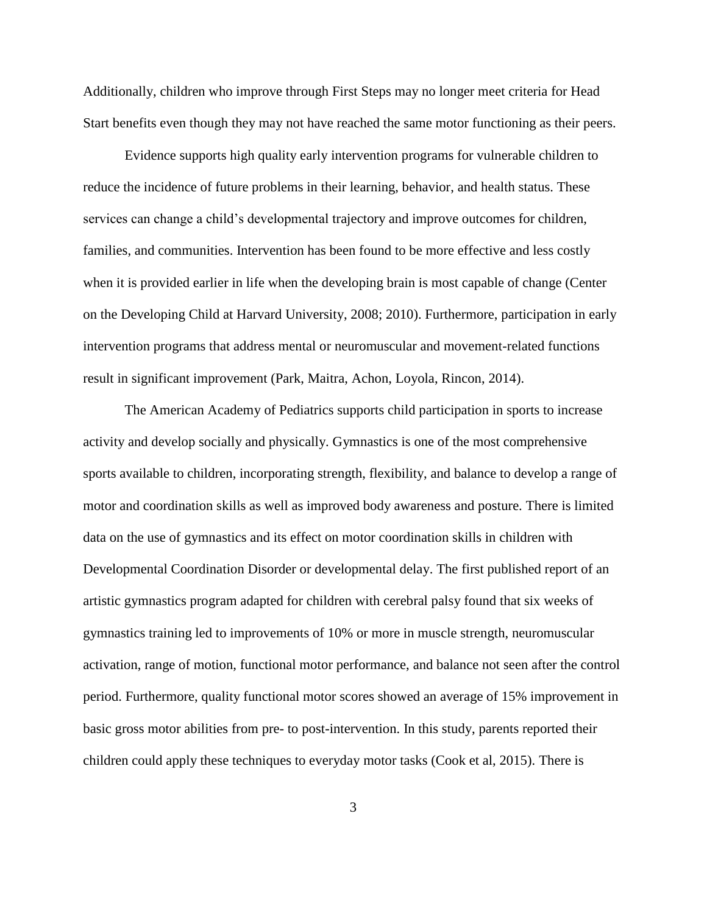Additionally, children who improve through First Steps may no longer meet criteria for Head Start benefits even though they may not have reached the same motor functioning as their peers.

Evidence supports high quality early intervention programs for vulnerable children to reduce the incidence of future problems in their learning, behavior, and health status. These services can change a child's developmental trajectory and improve outcomes for children, families, and communities. Intervention has been found to be more effective and less costly when it is provided earlier in life when the developing brain is most capable of change (Center on the Developing Child at Harvard University, 2008; 2010). Furthermore, participation in early intervention programs that address mental or neuromuscular and movement-related functions result in significant improvement (Park, Maitra, Achon, Loyola, Rincon, 2014).

The American Academy of Pediatrics supports child participation in sports to increase activity and develop socially and physically. Gymnastics is one of the most comprehensive sports available to children, incorporating strength, flexibility, and balance to develop a range of motor and coordination skills as well as improved body awareness and posture. There is limited data on the use of gymnastics and its effect on motor coordination skills in children with Developmental Coordination Disorder or developmental delay. The first published report of an artistic gymnastics program adapted for children with cerebral palsy found that six weeks of gymnastics training led to improvements of 10% or more in muscle strength, neuromuscular activation, range of motion, functional motor performance, and balance not seen after the control period. Furthermore, quality functional motor scores showed an average of 15% improvement in basic gross motor abilities from pre- to post-intervention. In this study, parents reported their children could apply these techniques to everyday motor tasks (Cook et al, 2015). There is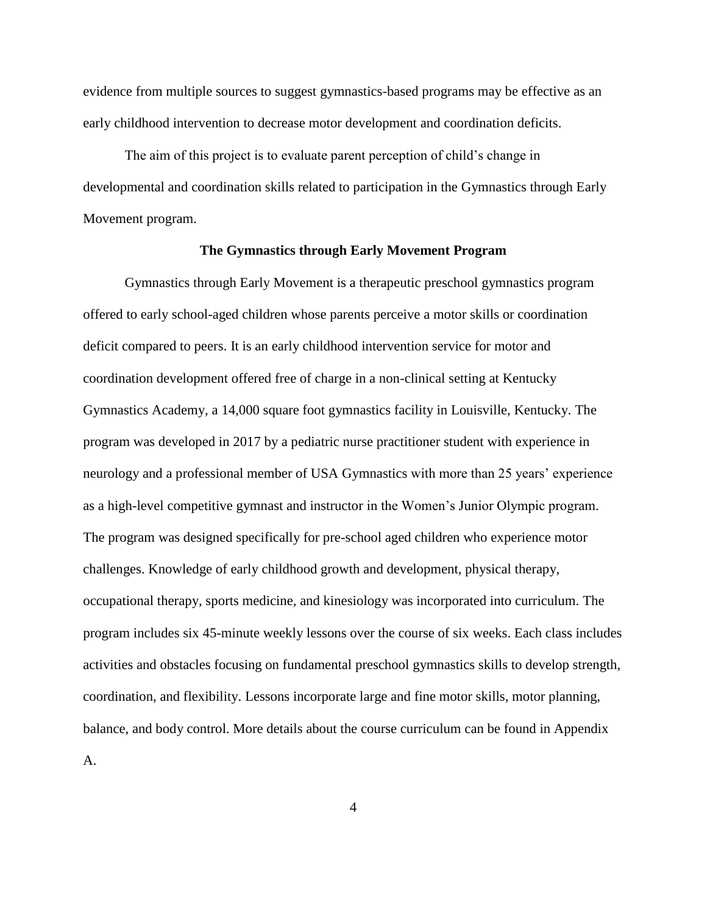evidence from multiple sources to suggest gymnastics-based programs may be effective as an early childhood intervention to decrease motor development and coordination deficits.

The aim of this project is to evaluate parent perception of child's change in developmental and coordination skills related to participation in the Gymnastics through Early Movement program.

### **The Gymnastics through Early Movement Program**

Gymnastics through Early Movement is a therapeutic preschool gymnastics program offered to early school-aged children whose parents perceive a motor skills or coordination deficit compared to peers. It is an early childhood intervention service for motor and coordination development offered free of charge in a non-clinical setting at Kentucky Gymnastics Academy, a 14,000 square foot gymnastics facility in Louisville, Kentucky. The program was developed in 2017 by a pediatric nurse practitioner student with experience in neurology and a professional member of USA Gymnastics with more than 25 years' experience as a high-level competitive gymnast and instructor in the Women's Junior Olympic program. The program was designed specifically for pre-school aged children who experience motor challenges. Knowledge of early childhood growth and development, physical therapy, occupational therapy, sports medicine, and kinesiology was incorporated into curriculum. The program includes six 45-minute weekly lessons over the course of six weeks. Each class includes activities and obstacles focusing on fundamental preschool gymnastics skills to develop strength, coordination, and flexibility. Lessons incorporate large and fine motor skills, motor planning, balance, and body control. More details about the course curriculum can be found in Appendix A.

4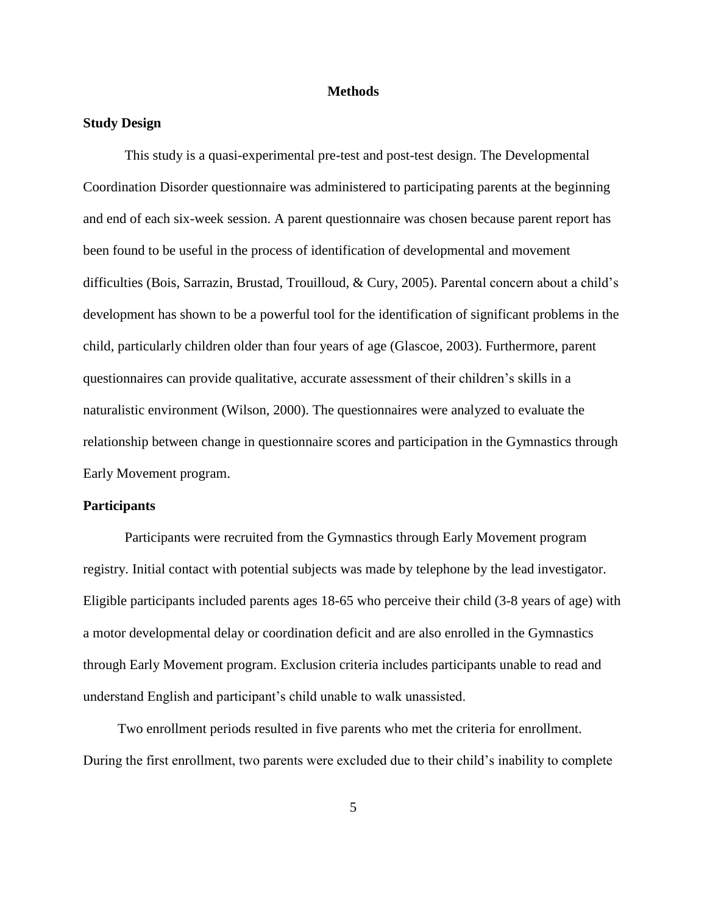### **Methods**

### **Study Design**

This study is a quasi-experimental pre-test and post-test design. The Developmental Coordination Disorder questionnaire was administered to participating parents at the beginning and end of each six-week session. A parent questionnaire was chosen because parent report has been found to be useful in the process of identification of developmental and movement difficulties (Bois, Sarrazin, Brustad, Trouilloud, & Cury, 2005). Parental concern about a child's development has shown to be a powerful tool for the identification of significant problems in the child, particularly children older than four years of age (Glascoe, 2003). Furthermore, parent questionnaires can provide qualitative, accurate assessment of their children's skills in a naturalistic environment (Wilson, 2000). The questionnaires were analyzed to evaluate the relationship between change in questionnaire scores and participation in the Gymnastics through Early Movement program.

#### **Participants**

Participants were recruited from the Gymnastics through Early Movement program registry. Initial contact with potential subjects was made by telephone by the lead investigator. Eligible participants included parents ages 18-65 who perceive their child (3-8 years of age) with a motor developmental delay or coordination deficit and are also enrolled in the Gymnastics through Early Movement program. Exclusion criteria includes participants unable to read and understand English and participant's child unable to walk unassisted.

 Two enrollment periods resulted in five parents who met the criteria for enrollment. During the first enrollment, two parents were excluded due to their child's inability to complete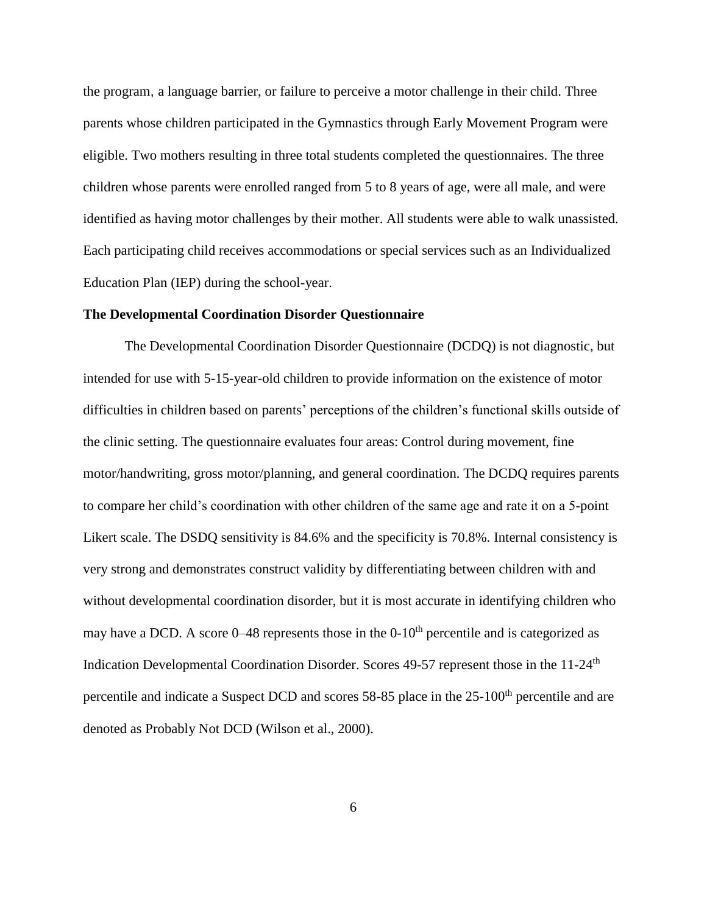the program, a language barrier, or failure to perceive a motor challenge in their child. Three parents whose children participated in the Gymnastics through Early Movement Program were eligible. Two mothers resulting in three total students completed the questionnaires. The three children whose parents were enrolled ranged from 5 to 8 years of age, were all male, and were identified as having motor challenges by their mother. All students were able to walk unassisted. Each participating child receives accommodations or special services such as an Individualized Education Plan (IEP) during the school-year.

### **The Developmental Coordination Disorder Questionnaire**

The Developmental Coordination Disorder Questionnaire (DCDQ) is not diagnostic, but intended for use with 5-15-year-old children to provide information on the existence of motor difficulties in children based on parents' perceptions of the children's functional skills outside of the clinic setting. The questionnaire evaluates four areas: Control during movement, fine motor/handwriting, gross motor/planning, and general coordination. The DCDQ requires parents to compare her child's coordination with other children of the same age and rate it on a 5-point Likert scale. The DSDQ sensitivity is 84.6% and the specificity is 70.8%. Internal consistency is very strong and demonstrates construct validity by differentiating between children with and without developmental coordination disorder, but it is most accurate in identifying children who may have a DCD. A score  $0-48$  represents those in the  $0-10<sup>th</sup>$  percentile and is categorized as Indication Developmental Coordination Disorder. Scores 49-57 represent those in the 11-24<sup>th</sup> percentile and indicate a Suspect DCD and scores 58-85 place in the 25-100<sup>th</sup> percentile and are denoted as Probably Not DCD (Wilson et al., 2000).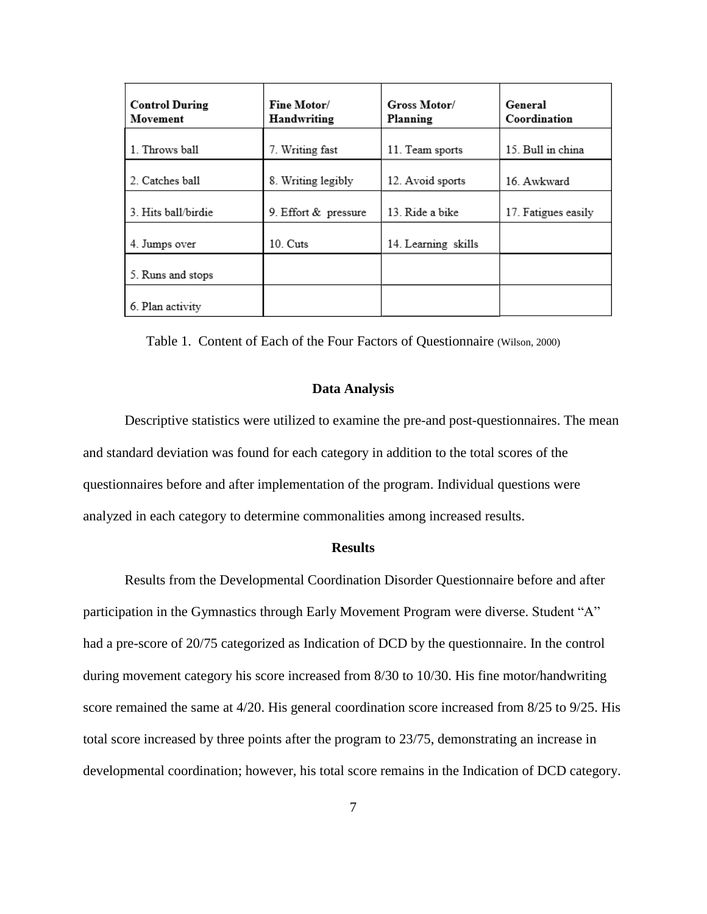| <b>Control During</b><br>Movement | Fine Motor/<br>Handwriting | Gross Motor/<br>Planning | General<br>Coordination |
|-----------------------------------|----------------------------|--------------------------|-------------------------|
| 1. Throws ball                    | 7. Writing fast            | 11. Team sports          | 15. Bull in china       |
| 2. Catches ball                   | 8. Writing legibly         | 12. Avoid sports         | 16 Awkward              |
| 3. Hits ball/birdie               | 9. Effort & pressure       | 13. Ride a bike          | 17. Fatigues easily     |
| 4. Jumps over                     | 10. Cuts                   | 14. Learning skills      |                         |
| 5. Runs and stops                 |                            |                          |                         |
| 6. Plan activity                  |                            |                          |                         |

Table 1. Content of Each of the Four Factors of Questionnaire (Wilson, 2000)

#### **Data Analysis**

Descriptive statistics were utilized to examine the pre-and post-questionnaires. The mean and standard deviation was found for each category in addition to the total scores of the questionnaires before and after implementation of the program. Individual questions were analyzed in each category to determine commonalities among increased results.

#### **Results**

Results from the Developmental Coordination Disorder Questionnaire before and after participation in the Gymnastics through Early Movement Program were diverse. Student "A" had a pre-score of 20/75 categorized as Indication of DCD by the questionnaire. In the control during movement category his score increased from 8/30 to 10/30. His fine motor/handwriting score remained the same at 4/20. His general coordination score increased from 8/25 to 9/25. His total score increased by three points after the program to 23/75, demonstrating an increase in developmental coordination; however, his total score remains in the Indication of DCD category.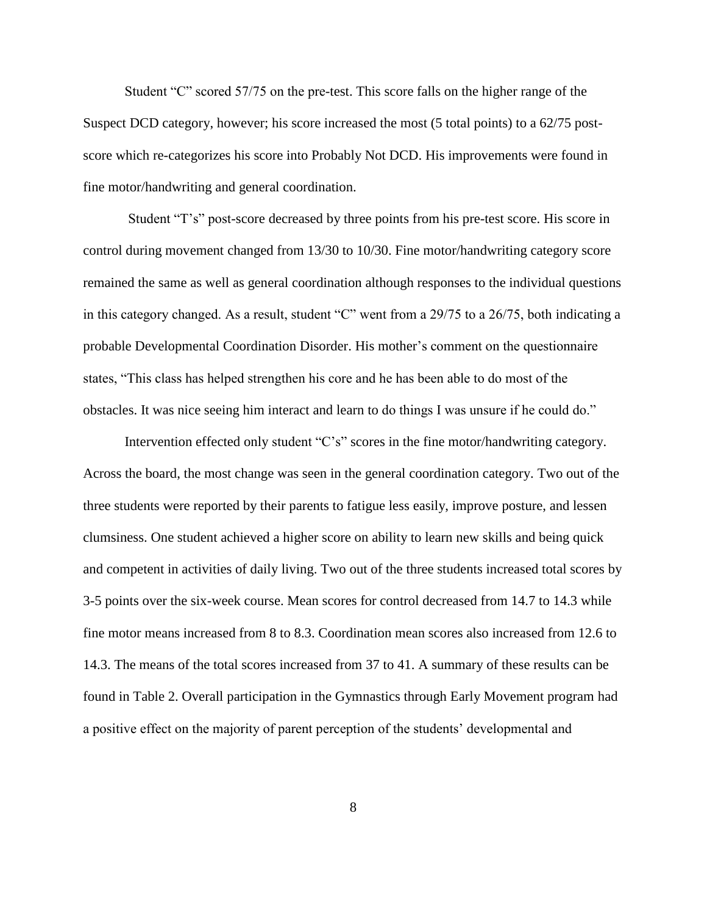Student "C" scored 57/75 on the pre-test. This score falls on the higher range of the Suspect DCD category, however; his score increased the most (5 total points) to a 62/75 postscore which re-categorizes his score into Probably Not DCD. His improvements were found in fine motor/handwriting and general coordination.

Student "T's" post-score decreased by three points from his pre-test score. His score in control during movement changed from 13/30 to 10/30. Fine motor/handwriting category score remained the same as well as general coordination although responses to the individual questions in this category changed. As a result, student "C" went from a 29/75 to a 26/75, both indicating a probable Developmental Coordination Disorder. His mother's comment on the questionnaire states, "This class has helped strengthen his core and he has been able to do most of the obstacles. It was nice seeing him interact and learn to do things I was unsure if he could do."

Intervention effected only student "C's" scores in the fine motor/handwriting category. Across the board, the most change was seen in the general coordination category. Two out of the three students were reported by their parents to fatigue less easily, improve posture, and lessen clumsiness. One student achieved a higher score on ability to learn new skills and being quick and competent in activities of daily living. Two out of the three students increased total scores by 3-5 points over the six-week course. Mean scores for control decreased from 14.7 to 14.3 while fine motor means increased from 8 to 8.3. Coordination mean scores also increased from 12.6 to 14.3. The means of the total scores increased from 37 to 41. A summary of these results can be found in Table 2. Overall participation in the Gymnastics through Early Movement program had a positive effect on the majority of parent perception of the students' developmental and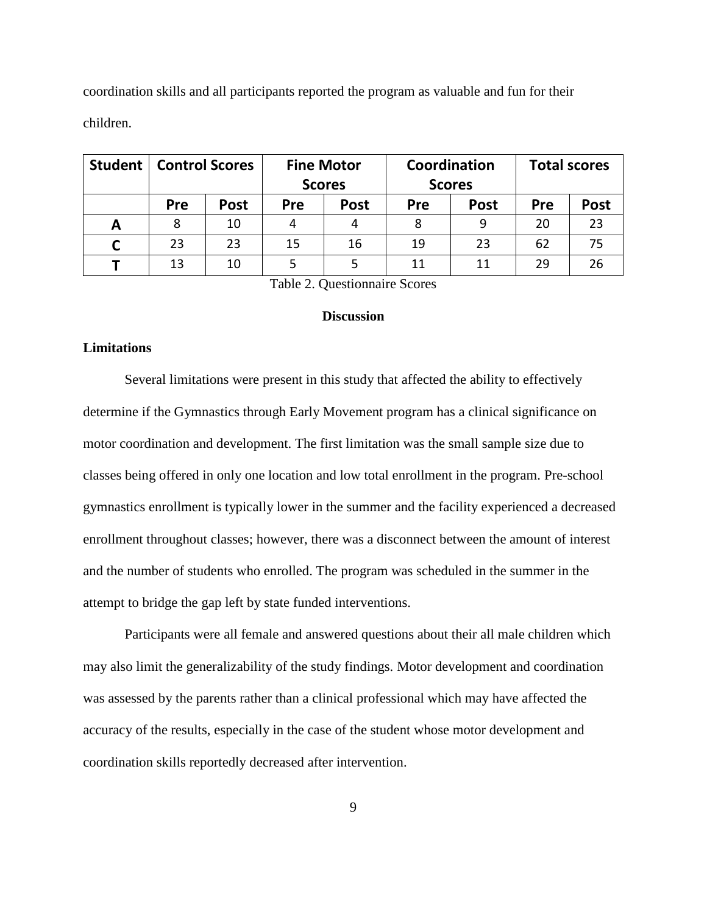coordination skills and all participants reported the program as valuable and fun for their children.

| <b>Student</b> |            | <b>Control Scores</b> |            | <b>Fine Motor</b><br><b>Scores</b> |     | Coordination<br><b>Scores</b> |     | <b>Total scores</b> |
|----------------|------------|-----------------------|------------|------------------------------------|-----|-------------------------------|-----|---------------------|
|                | <b>Pre</b> | <b>Post</b>           | <b>Pre</b> | <b>Post</b>                        | Pre | <b>Post</b>                   | Pre | <b>Post</b>         |
| А              | 8          | 10                    |            | 4                                  | 8   | 9                             | 20  | 23                  |
|                | 23         | 23                    | 15         | 16                                 | 19  | 23                            | 62  | 75                  |
|                | 13         | 10                    |            |                                    | 11  | 11                            | 29  | 26                  |

Table 2. Questionnaire Scores

#### **Discussion**

### **Limitations**

Several limitations were present in this study that affected the ability to effectively determine if the Gymnastics through Early Movement program has a clinical significance on motor coordination and development. The first limitation was the small sample size due to classes being offered in only one location and low total enrollment in the program. Pre-school gymnastics enrollment is typically lower in the summer and the facility experienced a decreased enrollment throughout classes; however, there was a disconnect between the amount of interest and the number of students who enrolled. The program was scheduled in the summer in the attempt to bridge the gap left by state funded interventions.

Participants were all female and answered questions about their all male children which may also limit the generalizability of the study findings. Motor development and coordination was assessed by the parents rather than a clinical professional which may have affected the accuracy of the results, especially in the case of the student whose motor development and coordination skills reportedly decreased after intervention.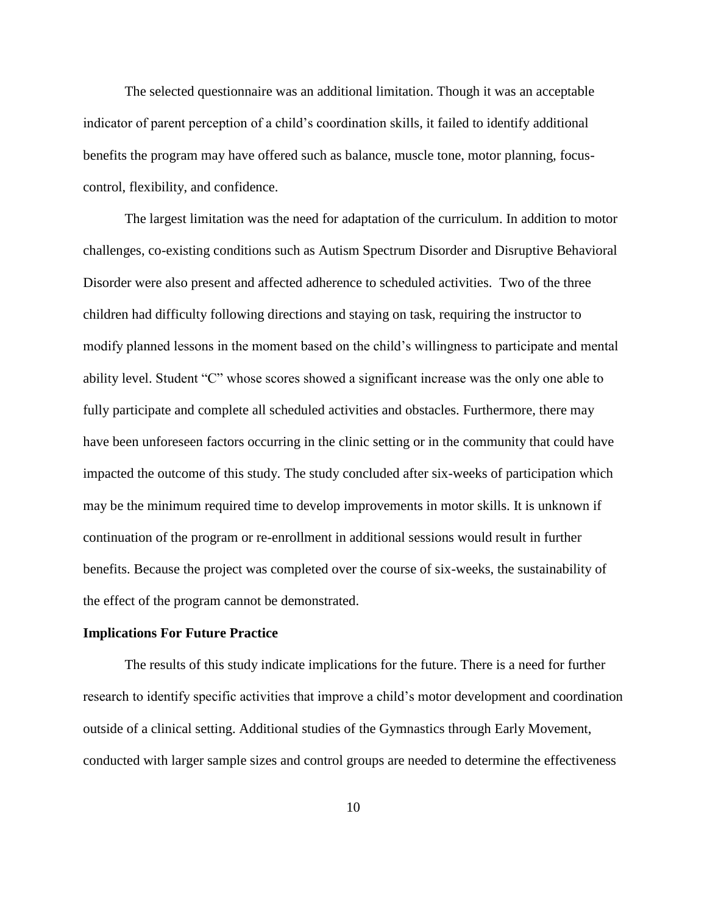The selected questionnaire was an additional limitation. Though it was an acceptable indicator of parent perception of a child's coordination skills, it failed to identify additional benefits the program may have offered such as balance, muscle tone, motor planning, focuscontrol, flexibility, and confidence.

The largest limitation was the need for adaptation of the curriculum. In addition to motor challenges, co-existing conditions such as Autism Spectrum Disorder and Disruptive Behavioral Disorder were also present and affected adherence to scheduled activities. Two of the three children had difficulty following directions and staying on task, requiring the instructor to modify planned lessons in the moment based on the child's willingness to participate and mental ability level. Student "C" whose scores showed a significant increase was the only one able to fully participate and complete all scheduled activities and obstacles. Furthermore, there may have been unforeseen factors occurring in the clinic setting or in the community that could have impacted the outcome of this study. The study concluded after six-weeks of participation which may be the minimum required time to develop improvements in motor skills. It is unknown if continuation of the program or re-enrollment in additional sessions would result in further benefits. Because the project was completed over the course of six-weeks, the sustainability of the effect of the program cannot be demonstrated.

### **Implications For Future Practice**

The results of this study indicate implications for the future. There is a need for further research to identify specific activities that improve a child's motor development and coordination outside of a clinical setting. Additional studies of the Gymnastics through Early Movement, conducted with larger sample sizes and control groups are needed to determine the effectiveness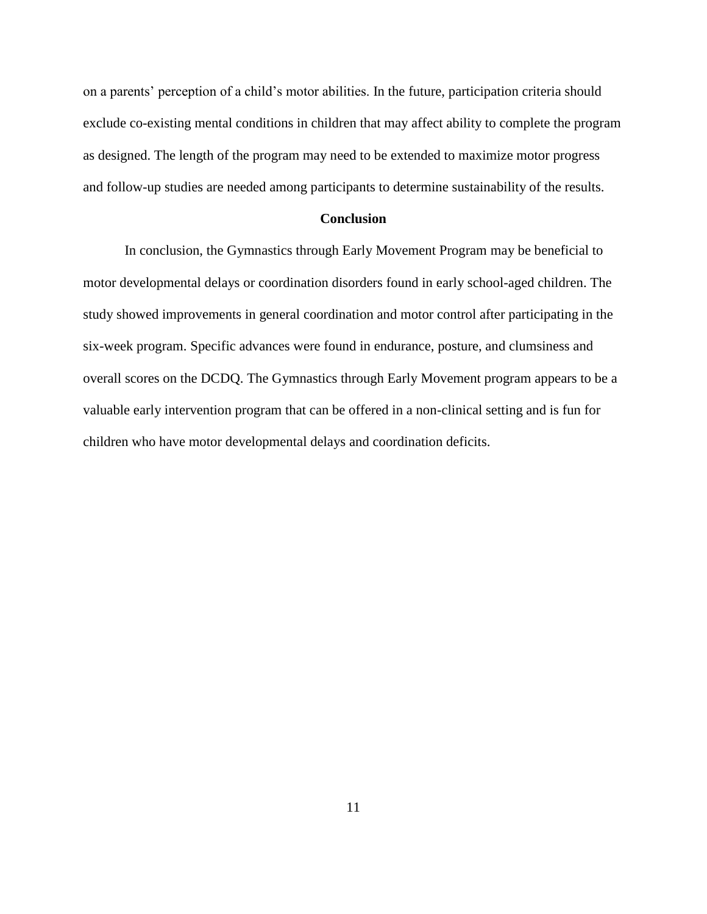on a parents' perception of a child's motor abilities. In the future, participation criteria should exclude co-existing mental conditions in children that may affect ability to complete the program as designed. The length of the program may need to be extended to maximize motor progress and follow-up studies are needed among participants to determine sustainability of the results.

### **Conclusion**

In conclusion, the Gymnastics through Early Movement Program may be beneficial to motor developmental delays or coordination disorders found in early school-aged children. The study showed improvements in general coordination and motor control after participating in the six-week program. Specific advances were found in endurance, posture, and clumsiness and overall scores on the DCDQ. The Gymnastics through Early Movement program appears to be a valuable early intervention program that can be offered in a non-clinical setting and is fun for children who have motor developmental delays and coordination deficits.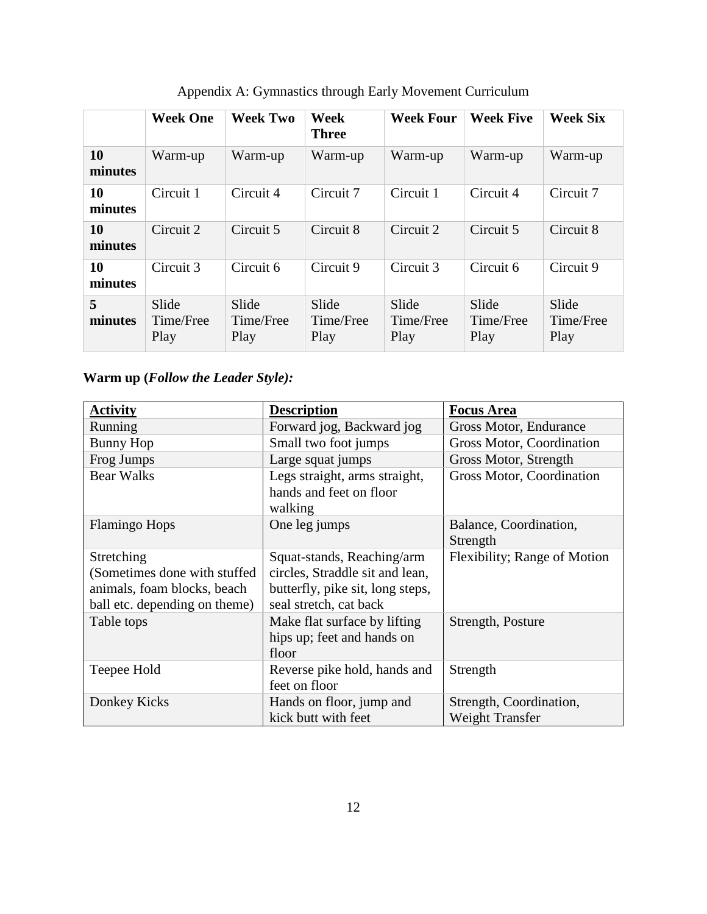|               | <b>Week One</b>            | <b>Week Two</b>            | Week<br><b>Three</b>       | <b>Week Four</b>           | <b>Week Five</b>           | <b>Week Six</b>            |
|---------------|----------------------------|----------------------------|----------------------------|----------------------------|----------------------------|----------------------------|
| 10<br>minutes | Warm-up                    | Warm-up                    | Warm-up                    | Warm-up                    | Warm-up                    | Warm-up                    |
| 10<br>minutes | Circuit 1                  | Circuit 4                  | Circuit 7                  | Circuit 1                  | Circuit 4                  | Circuit 7                  |
| 10<br>minutes | Circuit 2                  | Circuit 5                  | Circuit 8                  | Circuit 2                  | Circuit 5                  | Circuit 8                  |
| 10<br>minutes | Circuit 3                  | Circuit 6                  | Circuit 9                  | Circuit 3                  | Circuit 6                  | Circuit 9                  |
| 5<br>minutes  | Slide<br>Time/Free<br>Play | Slide<br>Time/Free<br>Play | Slide<br>Time/Free<br>Play | Slide<br>Time/Free<br>Play | Slide<br>Time/Free<br>Play | Slide<br>Time/Free<br>Play |

Appendix A: Gymnastics through Early Movement Curriculum

# **Warm up (***Follow the Leader Style):*

| <b>Activity</b>                                                                                             | <b>Description</b>                                                                                                          | <b>Focus Area</b>                                 |
|-------------------------------------------------------------------------------------------------------------|-----------------------------------------------------------------------------------------------------------------------------|---------------------------------------------------|
| Running                                                                                                     | Forward jog, Backward jog                                                                                                   | Gross Motor, Endurance                            |
| <b>Bunny Hop</b>                                                                                            | Small two foot jumps                                                                                                        | Gross Motor, Coordination                         |
| Frog Jumps                                                                                                  | Large squat jumps                                                                                                           | Gross Motor, Strength                             |
| <b>Bear Walks</b>                                                                                           | Legs straight, arms straight,<br>hands and feet on floor<br>walking                                                         | Gross Motor, Coordination                         |
| <b>Flamingo Hops</b>                                                                                        | One leg jumps                                                                                                               | Balance, Coordination,<br>Strength                |
| Stretching<br>(Sometimes done with stuffed)<br>animals, foam blocks, beach<br>ball etc. depending on theme) | Squat-stands, Reaching/arm<br>circles, Straddle sit and lean,<br>butterfly, pike sit, long steps,<br>seal stretch, cat back | Flexibility; Range of Motion                      |
| Table tops                                                                                                  | Make flat surface by lifting<br>hips up; feet and hands on<br>floor                                                         | Strength, Posture                                 |
| Teepee Hold                                                                                                 | Reverse pike hold, hands and<br>feet on floor                                                                               | Strength                                          |
| Donkey Kicks                                                                                                | Hands on floor, jump and<br>kick butt with feet                                                                             | Strength, Coordination,<br><b>Weight Transfer</b> |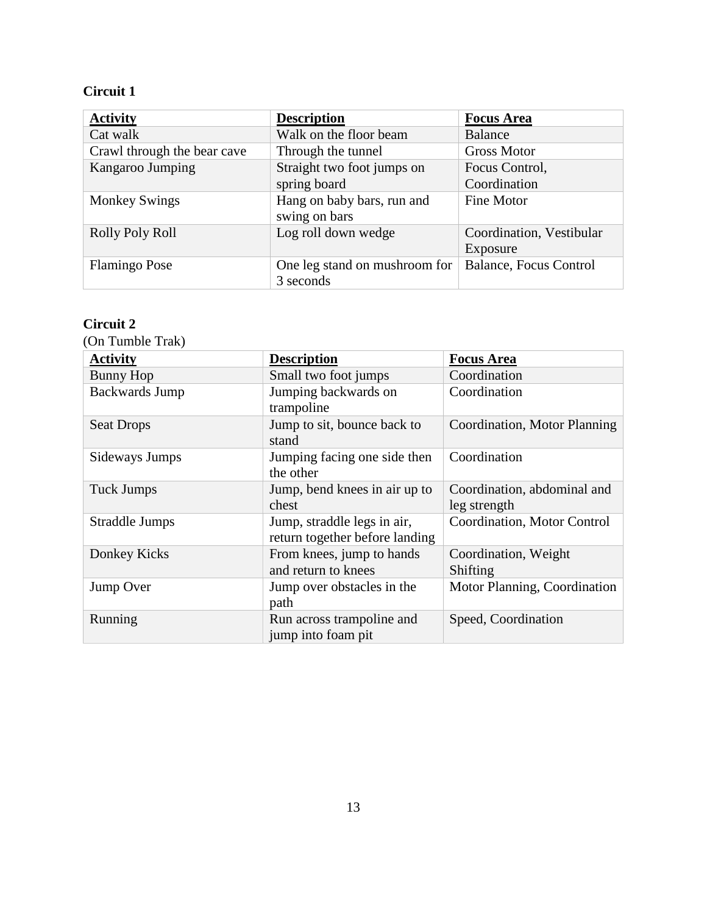| <b>Activity</b>             | <b>Description</b>            | <b>Focus Area</b>             |
|-----------------------------|-------------------------------|-------------------------------|
| Cat walk                    | Walk on the floor beam        | <b>Balance</b>                |
| Crawl through the bear cave | Through the tunnel            | <b>Gross Motor</b>            |
| Kangaroo Jumping            | Straight two foot jumps on    | Focus Control,                |
|                             | spring board                  | Coordination                  |
| <b>Monkey Swings</b>        | Hang on baby bars, run and    | Fine Motor                    |
|                             | swing on bars                 |                               |
| Rolly Poly Roll             | Log roll down wedge           | Coordination, Vestibular      |
|                             |                               | Exposure                      |
| <b>Flamingo Pose</b>        | One leg stand on mushroom for | <b>Balance, Focus Control</b> |
|                             | 3 seconds                     |                               |

### **Circuit 2**

| (On Tumble Trak)      |                                                               |                                             |
|-----------------------|---------------------------------------------------------------|---------------------------------------------|
| <b>Activity</b>       | <b>Description</b>                                            | <b>Focus Area</b>                           |
| <b>Bunny Hop</b>      | Small two foot jumps                                          | Coordination                                |
| <b>Backwards Jump</b> | Jumping backwards on<br>trampoline                            | Coordination                                |
| <b>Seat Drops</b>     | Jump to sit, bounce back to<br>stand                          | Coordination, Motor Planning                |
| Sideways Jumps        | Jumping facing one side then<br>the other                     | Coordination                                |
| <b>Tuck Jumps</b>     | Jump, bend knees in air up to<br>chest                        | Coordination, abdominal and<br>leg strength |
| Straddle Jumps        | Jump, straddle legs in air,<br>return together before landing | Coordination, Motor Control                 |
| Donkey Kicks          | From knees, jump to hands<br>and return to knees              | Coordination, Weight<br>Shifting            |
| Jump Over             | Jump over obstacles in the<br>path                            | Motor Planning, Coordination                |
| Running               | Run across trampoline and<br>jump into foam pit               | Speed, Coordination                         |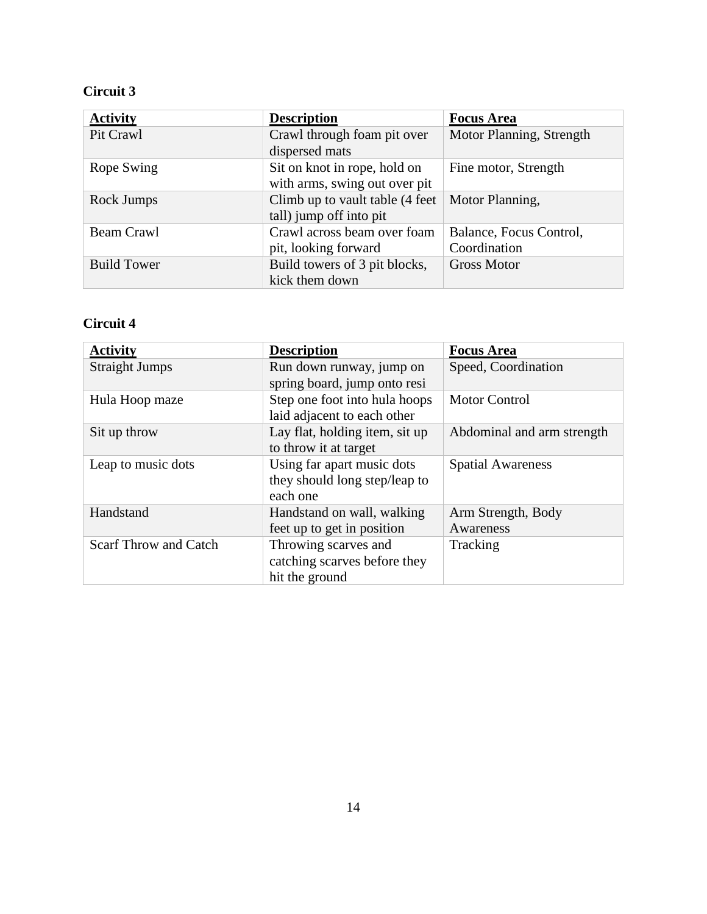| <b>Activity</b>    | <b>Description</b>               | <b>Focus Area</b>        |
|--------------------|----------------------------------|--------------------------|
| Pit Crawl          | Crawl through foam pit over      | Motor Planning, Strength |
|                    | dispersed mats                   |                          |
| Rope Swing         | Sit on knot in rope, hold on     | Fine motor, Strength     |
|                    | with arms, swing out over pit    |                          |
| Rock Jumps         | Climb up to vault table (4 feet) | Motor Planning,          |
|                    | tall) jump off into pit          |                          |
| Beam Crawl         | Crawl across beam over foam      | Balance, Focus Control,  |
|                    | pit, looking forward             | Coordination             |
| <b>Build Tower</b> | Build towers of 3 pit blocks,    | <b>Gross Motor</b>       |
|                    | kick them down                   |                          |

# **Circuit 4**

| <b>Activity</b>              | <b>Description</b>                                                      | <b>Focus Area</b>               |
|------------------------------|-------------------------------------------------------------------------|---------------------------------|
| <b>Straight Jumps</b>        | Run down runway, jump on<br>spring board, jump onto resi                | Speed, Coordination             |
| Hula Hoop maze               | Step one foot into hula hoops<br>laid adjacent to each other            | <b>Motor Control</b>            |
| Sit up throw                 | Lay flat, holding item, sit up<br>to throw it at target                 | Abdominal and arm strength      |
| Leap to music dots           | Using far apart music dots<br>they should long step/leap to<br>each one | <b>Spatial Awareness</b>        |
| Handstand                    | Handstand on wall, walking<br>feet up to get in position                | Arm Strength, Body<br>Awareness |
| <b>Scarf Throw and Catch</b> | Throwing scarves and<br>catching scarves before they<br>hit the ground  | Tracking                        |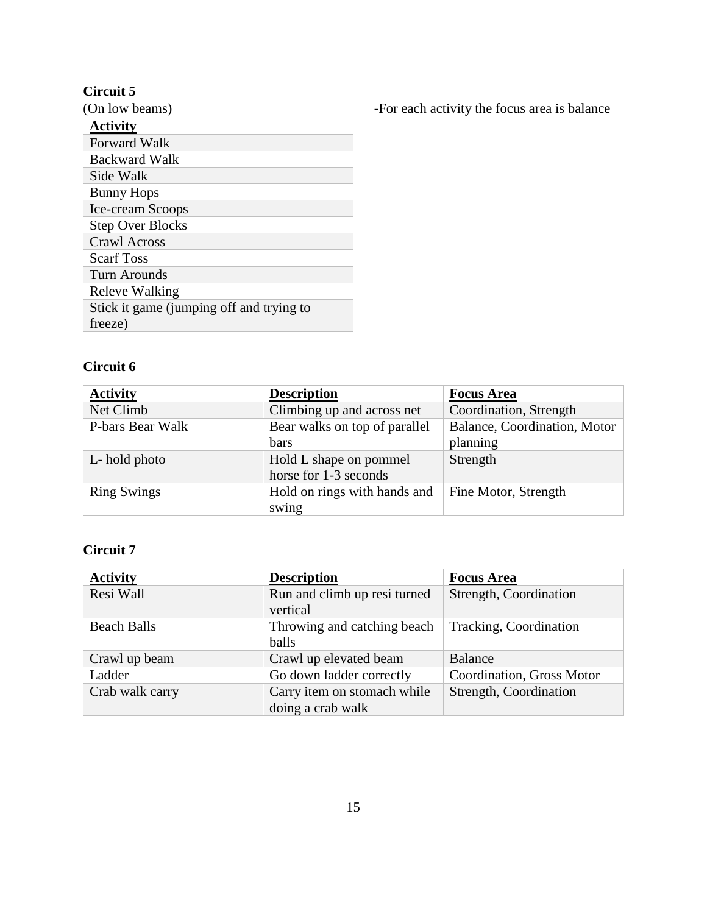| (On low beams)                           |
|------------------------------------------|
| <b>Activity</b>                          |
| <b>Forward Walk</b>                      |
| Backward Walk                            |
| Side Walk                                |
| <b>Bunny Hops</b>                        |
| Ice-cream Scoops                         |
| <b>Step Over Blocks</b>                  |
| <b>Crawl Across</b>                      |
| <b>Scarf Toss</b>                        |
| Turn Arounds                             |
| Releve Walking                           |
| Stick it game (jumping off and trying to |
| freeze)                                  |
|                                          |

**Circuit 6**

| <b>Activity</b>    | <b>Description</b>                              | <b>Focus Area</b>                        |
|--------------------|-------------------------------------------------|------------------------------------------|
| Net Climb          | Climbing up and across net                      | Coordination, Strength                   |
| P-bars Bear Walk   | Bear walks on top of parallel<br>bars           | Balance, Coordination, Motor<br>planning |
| L-hold photo       | Hold L shape on pommel<br>horse for 1-3 seconds | Strength                                 |
| <b>Ring Swings</b> | Hold on rings with hands and<br>swing           | Fine Motor, Strength                     |

# **Circuit 7**

| <b>Activity</b>    | <b>Description</b>                               | <b>Focus Area</b>         |
|--------------------|--------------------------------------------------|---------------------------|
| Resi Wall          | Run and climb up resi turned<br>vertical         | Strength, Coordination    |
| <b>Beach Balls</b> | Throwing and catching beach<br>balls             | Tracking, Coordination    |
| Crawl up beam      | Crawl up elevated beam                           | Balance                   |
| Ladder             | Go down ladder correctly                         | Coordination, Gross Motor |
| Crab walk carry    | Carry item on stomach while<br>doing a crab walk | Strength, Coordination    |

-For each activity the focus area is balance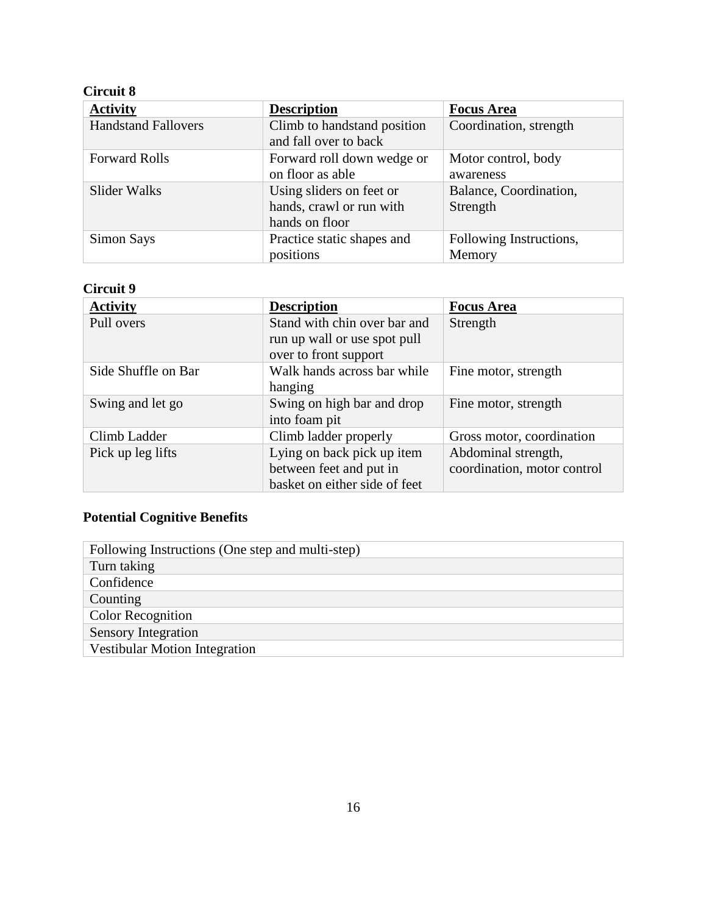| <b>Activity</b>            | <b>Description</b>                                                     | <b>Focus Area</b>                  |
|----------------------------|------------------------------------------------------------------------|------------------------------------|
| <b>Handstand Fallovers</b> | Climb to handstand position<br>and fall over to back                   | Coordination, strength             |
| <b>Forward Rolls</b>       | Forward roll down wedge or<br>on floor as able                         | Motor control, body<br>awareness   |
| Slider Walks               | Using sliders on feet or<br>hands, crawl or run with<br>hands on floor | Balance, Coordination,<br>Strength |
| <b>Simon Says</b>          | Practice static shapes and<br>positions                                | Following Instructions,<br>Memory  |

# **Circuit 9**

| <b>Activity</b>     | <b>Description</b>                                           | <b>Focus Area</b>           |
|---------------------|--------------------------------------------------------------|-----------------------------|
| Pull overs          | Stand with chin over bar and<br>run up wall or use spot pull | Strength                    |
|                     | over to front support                                        |                             |
| Side Shuffle on Bar | Walk hands across bar while<br>hanging                       | Fine motor, strength        |
| Swing and let go    | Swing on high bar and drop<br>into foam pit                  | Fine motor, strength        |
| Climb Ladder        | Climb ladder properly                                        | Gross motor, coordination   |
| Pick up leg lifts   | Lying on back pick up item                                   | Abdominal strength,         |
|                     | between feet and put in                                      | coordination, motor control |
|                     | basket on either side of feet                                |                             |

# **Potential Cognitive Benefits**

| Following Instructions (One step and multi-step) |
|--------------------------------------------------|
| Turn taking                                      |
| Confidence                                       |
| Counting                                         |
| <b>Color Recognition</b>                         |
| <b>Sensory Integration</b>                       |
| <b>Vestibular Motion Integration</b>             |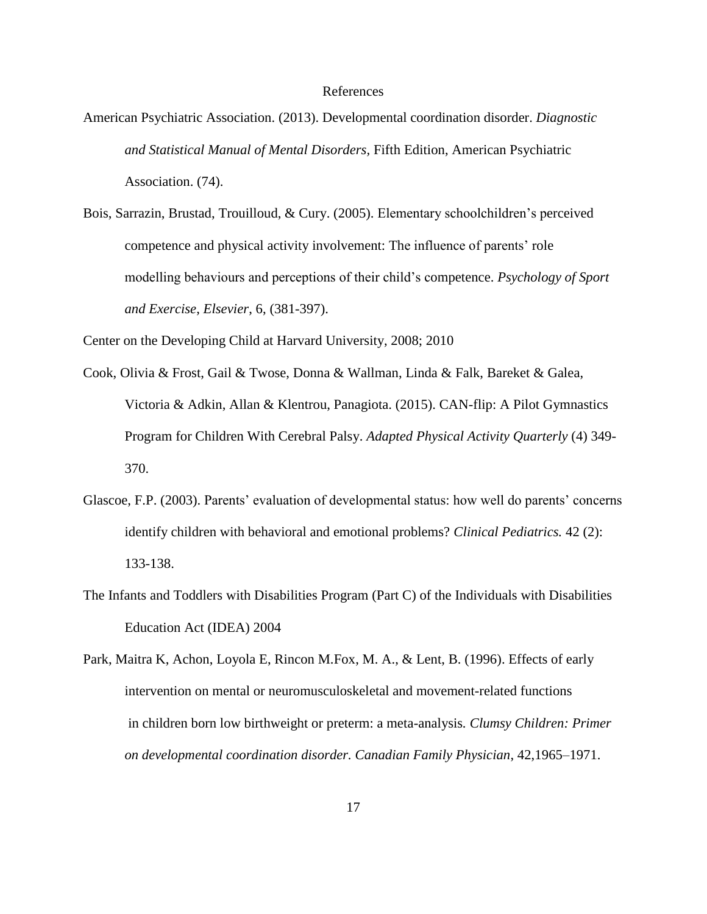#### References

- American Psychiatric Association. (2013). Developmental coordination disorder. *Diagnostic and Statistical Manual of Mental Disorders,* Fifth Edition, American Psychiatric Association. (74).
- Bois, Sarrazin, Brustad, Trouilloud, & Cury. (2005). Elementary schoolchildren's perceived competence and physical activity involvement: The influence of parents' role modelling behaviours and perceptions of their child's competence. *Psychology of Sport and Exercise*, *Elsevier*, 6, (381-397).

Center on the Developing Child at Harvard University, 2008; 2010

- Cook, Olivia & Frost, Gail & Twose, Donna & Wallman, Linda & Falk, Bareket & Galea, Victoria & Adkin, Allan & Klentrou, Panagiota. (2015). CAN-flip: A Pilot Gymnastics Program for Children With Cerebral Palsy. *Adapted Physical Activity Quarterly* (4) 349- 370.
- Glascoe, F.P. (2003). Parents' evaluation of developmental status: how well do parents' concerns identify children with behavioral and emotional problems? *Clinical Pediatrics.* 42 (2): 133-138.
- The Infants and Toddlers with Disabilities Program (Part C) of the Individuals with Disabilities Education Act (IDEA) 2004
- Park, Maitra K, Achon, Loyola E, Rincon M.Fox, M. A., & Lent, B. (1996). Effects of early intervention on mental or neuromusculoskeletal and movement-related functions in children born low birthweight or preterm: a meta-analysis*. Clumsy Children: Primer on developmental coordination disorder. Canadian Family Physician*, 42,1965–1971.